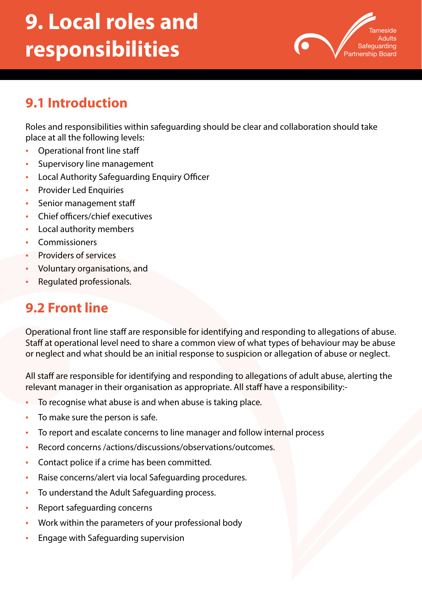# **9. Local roles and responsibilities**



# **9.1 Introduction**

Roles and responsibilities within safeguarding should be clear and collaboration should take place at all the following levels:

- Operational front line staff
- Supervisory line management
- Local Authority Safeguarding Enquiry Officer
- Provider Led Enquiries
- Senior management staff
- Chief officers/chief executives
- Local authority members
- **Commissioners**
- Providers of services
- Voluntary organisations, and
- Regulated professionals.

#### **9.2 Front line**

Operational front line staff are responsible for identifying and responding to allegations of abuse. Staff at operational level need to share a common view of what types of behaviour may be abuse or neglect and what should be an initial response to suspicion or allegation of abuse or neglect.

All staff are responsible for identifying and responding to allegations of adult abuse, alerting the relevant manager in their organisation as appropriate. All staff have a responsibility:-

- To recognise what abuse is and when abuse is taking place.
- To make sure the person is safe.
- To report and escalate concerns to line manager and follow internal process
- Record concerns /actions/discussions/observations/outcomes.
- Contact police if a crime has been committed.
- Raise concerns/alert via local Safeguarding procedures.
- To understand the Adult Safeguarding process.
- Report safeguarding concerns
- Work within the parameters of your professional body
- Engage with Safeguarding supervision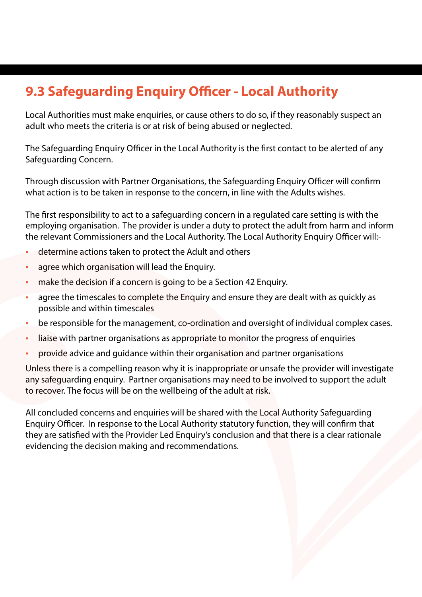# **9.3 Safeguarding Enquiry Officer - Local Authority**

Local Authorities must make enquiries, or cause others to do so, if they reasonably suspect an adult who meets the criteria is or at risk of being abused or neglected.

The Safeguarding Enquiry Officer in the Local Authority is the first contact to be alerted of any Safeguarding Concern.

Through discussion with Partner Organisations, the Safeguarding Enquiry Officer will confirm what action is to be taken in response to the concern, in line with the Adults wishes.

The first responsibility to act to a safeguarding concern in a regulated care setting is with the employing organisation. The provider is under a duty to protect the adult from harm and inform the relevant Commissioners and the Local Authority. The Local Authority Enquiry Officer will:-

- determine actions taken to protect the Adult and others
- agree which organisation will lead the Enquiry.
- make the decision if a concern is going to be a Section 42 Enquiry.
- agree the timescales to complete the Enquiry and ensure they are dealt with as quickly as possible and within timescales
- be responsible for the management, co-ordination and oversight of individual complex cases.
- liaise with partner organisations as appropriate to monitor the progress of enquiries
- provide advice and guidance within their organisation and partner organisations

Unless there is a compelling reason why it is inappropriate or unsafe the provider will investigate any safeguarding enquiry. Partner organisations may need to be involved to support the adult to recover. The focus will be on the wellbeing of the adult at risk.

All concluded concerns and enquiries will be shared with the Local Authority Safeguarding Enquiry Officer. In response to the Local Authority statutory function, they will confirm that they are satisfied with the Provider Led Enquiry's conclusion and that there is a clear rationale evidencing the decision making and recommendations.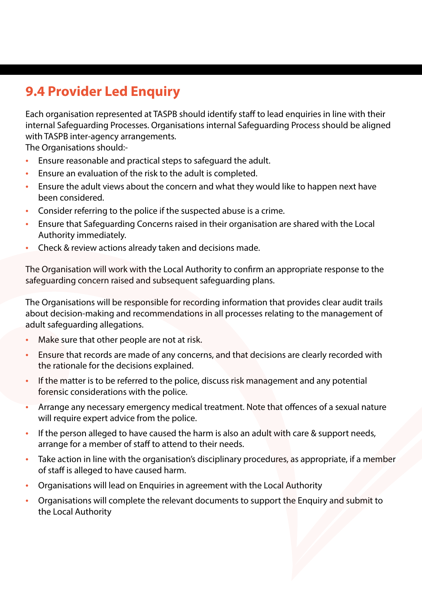# **9.4 Provider Led Enquiry**

Each organisation represented at TASPB should identify staff to lead enquiries in line with their internal Safeguarding Processes. Organisations internal Safeguarding Process should be aligned with TASPB inter-agency arrangements.

The Organisations should:-

- Ensure reasonable and practical steps to safeguard the adult.
- Ensure an evaluation of the risk to the adult is completed.
- Ensure the adult views about the concern and what they would like to happen next have been considered.
- Consider referring to the police if the suspected abuse is a crime.
- Ensure that Safeguarding Concerns raised in their organisation are shared with the Local Authority immediately.
- Check & review actions already taken and decisions made.

The Organisation will work with the Local Authority to confirm an appropriate response to the safeguarding concern raised and subsequent safeguarding plans.

The Organisations will be responsible for recording information that provides clear audit trails about decision-making and recommendations in all processes relating to the management of adult safeguarding allegations.

- Make sure that other people are not at risk.
- Ensure that records are made of any concerns, and that decisions are clearly recorded with the rationale for the decisions explained.
- If the matter is to be referred to the police, discuss risk management and any potential forensic considerations with the police.
- Arrange any necessary emergency medical treatment. Note that offences of a sexual nature will require expert advice from the police.
- If the person alleged to have caused the harm is also an adult with care & support needs, arrange for a member of staff to attend to their needs.
- Take action in line with the organisation's disciplinary procedures, as appropriate, if a member of staff is alleged to have caused harm.
- Organisations will lead on Enquiries in agreement with the Local Authority
- Organisations will complete the relevant documents to support the Enquiry and submit to the Local Authority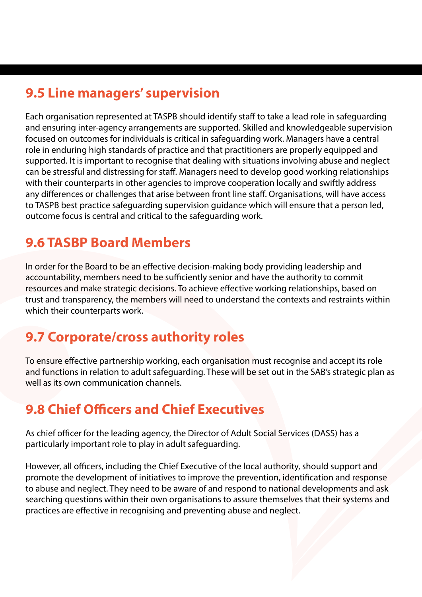#### **9.5 Line managers' supervision**

Each organisation represented at TASPB should identify staff to take a lead role in safeguarding and ensuring inter-agency arrangements are supported. Skilled and knowledgeable supervision focused on outcomes for individuals is critical in safeguarding work. Managers have a central role in enduring high standards of practice and that practitioners are properly equipped and supported. It is important to recognise that dealing with situations involving abuse and neglect can be stressful and distressing for staff. Managers need to develop good working relationships with their counterparts in other agencies to improve cooperation locally and swiftly address any differences or challenges that arise between front line staff. Organisations, will have access to TASPB best practice safeguarding supervision guidance which will ensure that a person led, outcome focus is central and critical to the safeguarding work.

#### **9.6 TASBP Board Members**

In order for the Board to be an effective decision-making body providing leadership and accountability, members need to be sufficiently senior and have the authority to commit resources and make strategic decisions. To achieve effective working relationships, based on trust and transparency, the members will need to understand the contexts and restraints within which their counterparts work.

# **9.7 Corporate/cross authority roles**

To ensure effective partnership working, each organisation must recognise and accept its role and functions in relation to adult safeguarding. These will be set out in the SAB's strategic plan as well as its own communication channels.

# **9.8 Chief Officers and Chief Executives**

As chief officer for the leading agency, the Director of Adult Social Services (DASS) has a particularly important role to play in adult safeguarding.

However, all officers, including the Chief Executive of the local authority, should support and promote the development of initiatives to improve the prevention, identification and response to abuse and neglect. They need to be aware of and respond to national developments and ask searching questions within their own organisations to assure themselves that their systems and practices are effective in recognising and preventing abuse and neglect.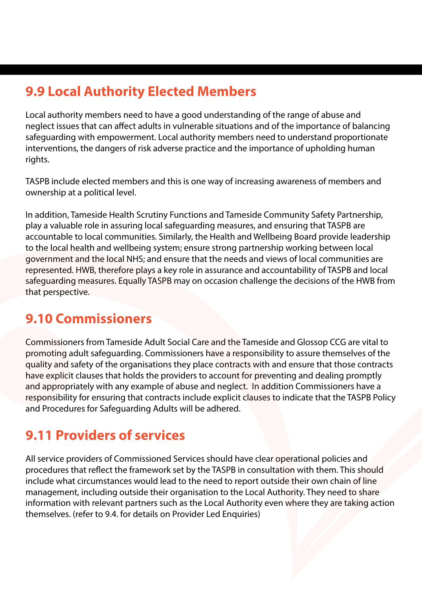### **9.9 Local Authority Elected Members**

Local authority members need to have a good understanding of the range of abuse and neglect issues that can affect adults in vulnerable situations and of the importance of balancing safeguarding with empowerment. Local authority members need to understand proportionate interventions, the dangers of risk adverse practice and the importance of upholding human rights.

TASPB include elected members and this is one way of increasing awareness of members and ownership at a political level.

In addition, Tameside Health Scrutiny Functions and Tameside Community Safety Partnership, play a valuable role in assuring local safeguarding measures, and ensuring that TASPB are accountable to local communities. Similarly, the Health and Wellbeing Board provide leadership to the local health and wellbeing system; ensure strong partnership working between local government and the local NHS; and ensure that the needs and views of local communities are represented. HWB, therefore plays a key role in assurance and accountability of TASPB and local safeguarding measures. Equally TASPB may on occasion challenge the decisions of the HWB from that perspective.

#### **9.10 Commissioners**

Commissioners from Tameside Adult Social Care and the Tameside and Glossop CCG are vital to promoting adult safeguarding. Commissioners have a responsibility to assure themselves of the quality and safety of the organisations they place contracts with and ensure that those contracts have explicit clauses that holds the providers to account for preventing and dealing promptly and appropriately with any example of abuse and neglect. In addition Commissioners have a responsibility for ensuring that contracts include explicit clauses to indicate that the TASPB Policy and Procedures for Safeguarding Adults will be adhered.

# **9.11 Providers of services**

All service providers of Commissioned Services should have clear operational policies and procedures that reflect the framework set by the TASPB in consultation with them. This should include what circumstances would lead to the need to report outside their own chain of line management, including outside their organisation to the Local Authority. They need to share information with relevant partners such as the Local Authority even where they are taking action themselves. (refer to 9.4. for details on Provider Led Enquiries)